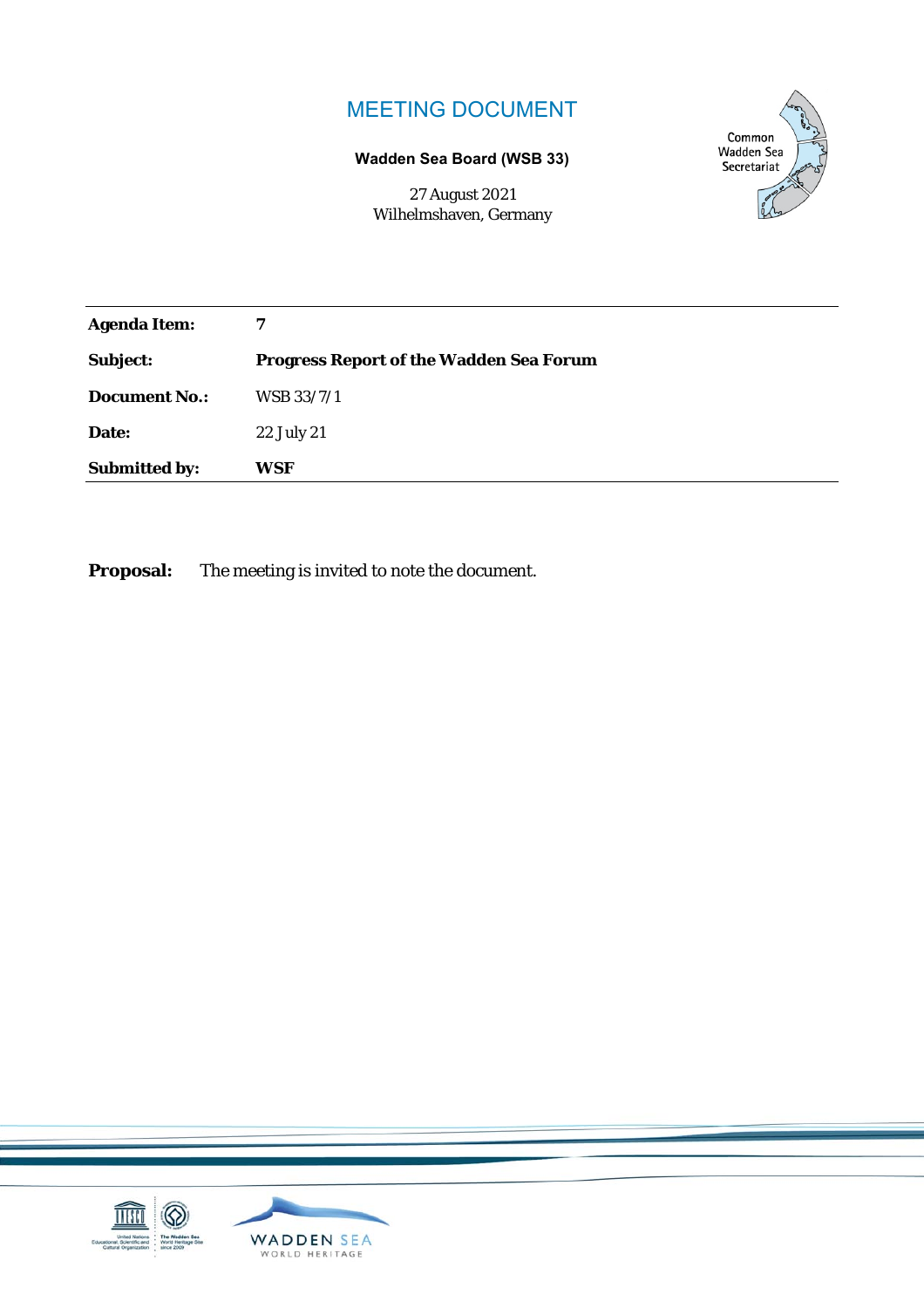# MEETING DOCUMENT

## **Wadden Sea Board (WSB 33)**

27 August 2021 Wilhelmshaven, Germany



| <b>Agenda Item:</b>  | 7                                              |
|----------------------|------------------------------------------------|
| Subject:             | <b>Progress Report of the Wadden Sea Forum</b> |
| <b>Document No.:</b> | WSB 33/7/1                                     |
| Date:                | 22 July 21                                     |
| <b>Submitted by:</b> | WSF                                            |

**Proposal:** The meeting is invited to note the document.

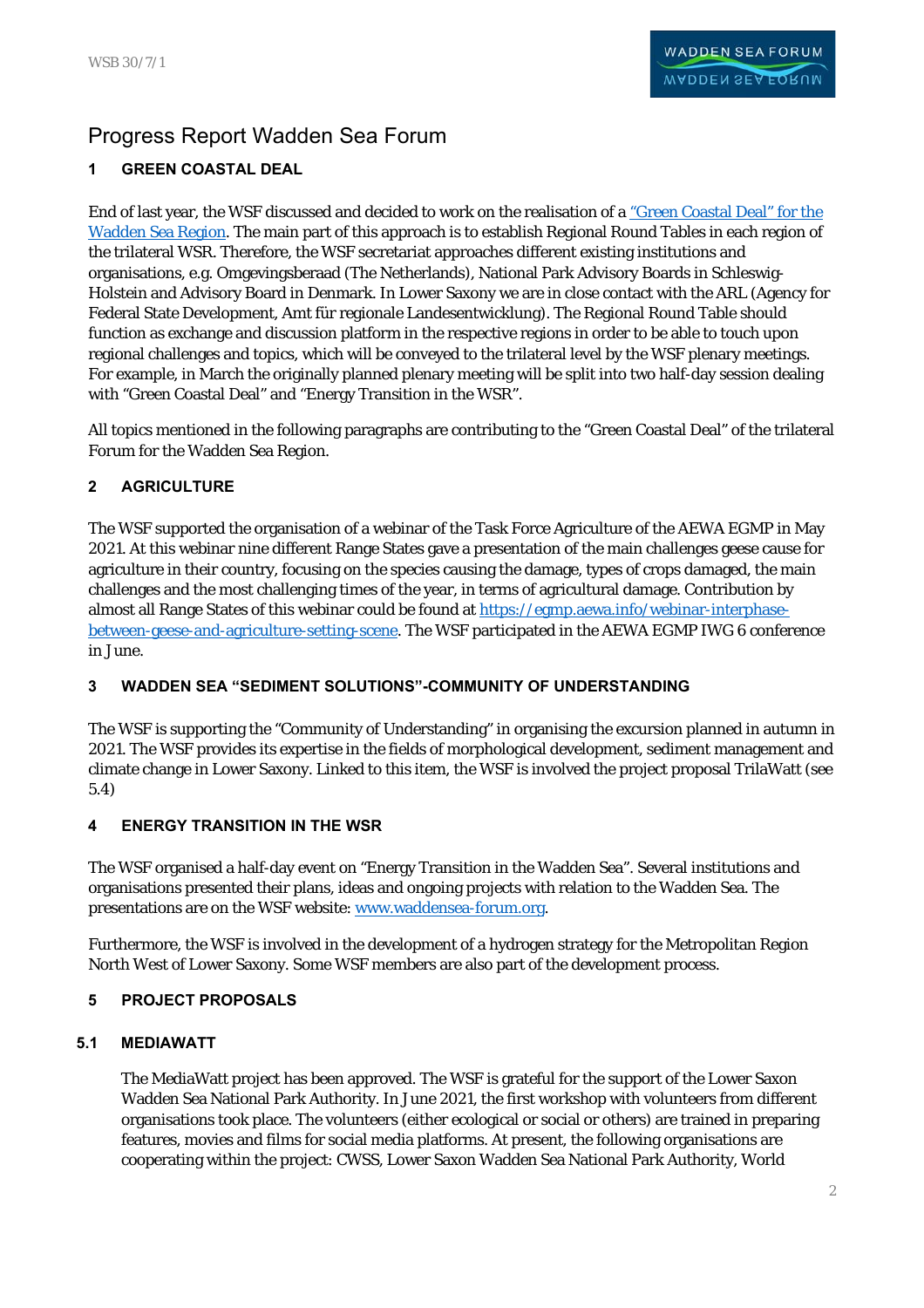# Progress Report Wadden Sea Forum

## **1 GREEN COASTAL DEAL**

End of last year, the WSF discussed and decided to work on the realisation of a "Green Coastal Deal" for the Wadden Sea Region. The main part of this approach is to establish Regional Round Tables in each region of the trilateral WSR. Therefore, the WSF secretariat approaches different existing institutions and organisations, e.g. Omgevingsberaad (The Netherlands), National Park Advisory Boards in Schleswig-Holstein and Advisory Board in Denmark. In Lower Saxony we are in close contact with the ARL (Agency for Federal State Development, Amt für regionale Landesentwicklung). The Regional Round Table should function as exchange and discussion platform in the respective regions in order to be able to touch upon regional challenges and topics, which will be conveyed to the trilateral level by the WSF plenary meetings. For example, in March the originally planned plenary meeting will be split into two half-day session dealing with "Green Coastal Deal" and "Energy Transition in the WSR".

All topics mentioned in the following paragraphs are contributing to the "Green Coastal Deal" of the trilateral Forum for the Wadden Sea Region.

## **2 AGRICULTURE**

The WSF supported the organisation of a webinar of the Task Force Agriculture of the AEWA EGMP in May 2021. At this webinar nine different Range States gave a presentation of the main challenges geese cause for agriculture in their country, focusing on the species causing the damage, types of crops damaged, the main challenges and the most challenging times of the year, in terms of agricultural damage. Contribution by almost all Range States of this webinar could be found at https://egmp.aewa.info/webinar-interphasebetween-geese-and-agriculture-setting-scene. The WSF participated in the AEWA EGMP IWG 6 conference in June.

## **3 WADDEN SEA "SEDIMENT SOLUTIONS"-COMMUNITY OF UNDERSTANDING**

The WSF is supporting the "Community of Understanding" in organising the excursion planned in autumn in 2021. The WSF provides its expertise in the fields of morphological development, sediment management and climate change in Lower Saxony. Linked to this item, the WSF is involved the project proposal TrilaWatt (see 5.4)

### **4 ENERGY TRANSITION IN THE WSR**

The WSF organised a half-day event on "Energy Transition in the Wadden Sea". Several institutions and organisations presented their plans, ideas and ongoing projects with relation to the Wadden Sea. The presentations are on the WSF website: www.waddensea-forum.org.

Furthermore, the WSF is involved in the development of a hydrogen strategy for the Metropolitan Region North West of Lower Saxony. Some WSF members are also part of the development process.

## **5 PROJECT PROPOSALS**

### **5.1 MEDIAWATT**

The MediaWatt project has been approved. The WSF is grateful for the support of the Lower Saxon Wadden Sea National Park Authority. In June 2021, the first workshop with volunteers from different organisations took place. The volunteers (either ecological or social or others) are trained in preparing features, movies and films for social media platforms. At present, the following organisations are cooperating within the project: CWSS, Lower Saxon Wadden Sea National Park Authority, World